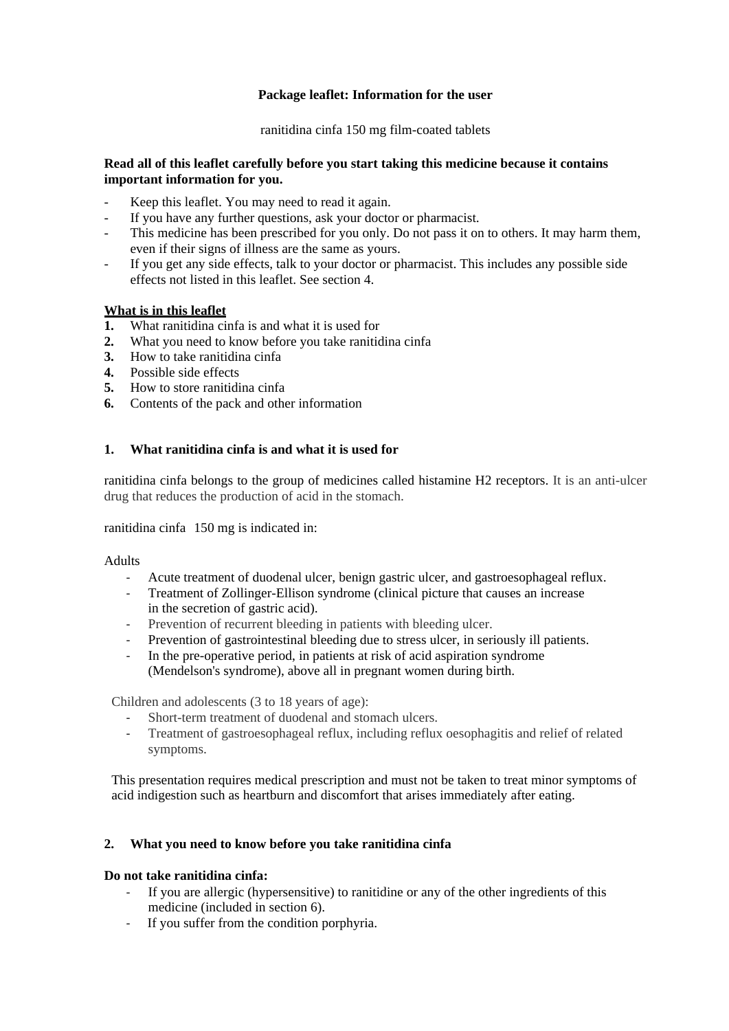# **Package leaflet: Information for the user**

ranitidina cinfa 150 mg film-coated tablets

# **Read all of this leaflet carefully before you start taking this medicine because it contains important information for you.**

- Keep this leaflet. You may need to read it again.
- If you have any further questions, ask your doctor or pharmacist.
- This medicine has been prescribed for you only. Do not pass it on to others. It may harm them, even if their signs of illness are the same as yours.
- If you get any side effects, talk to your doctor or pharmacist. This includes any possible side effects not listed in this leaflet. See section 4.

# **What is in this leaflet**

- **1.** What ranitidina cinfa is and what it is used for
- **2.** What you need to know before you take ranitidina cinfa
- **3.** How to take ranitidina cinfa
- **4.** Possible side effects
- **5.** How to store ranitidina cinfa
- **6.** Contents of the pack and other information

# **1. What ranitidina cinfa is and what it is used for**

ranitidina cinfa belongs to the group of medicines called histamine H2 receptors. It is an anti-ulcer drug that reduces the production of acid in the stomach.

ranitidina cinfa 150 mg is indicated in:

#### Adults

- ‐ Acute treatment of duodenal ulcer, benign gastric ulcer, and gastroesophageal reflux.
- ‐ Treatment of Zollinger-Ellison syndrome (clinical picture that causes an increase in the secretion of gastric acid).
- ‐ Prevention of recurrent bleeding in patients with bleeding ulcer.
- ‐ Prevention of gastrointestinal bleeding due to stress ulcer, in seriously ill patients.
- ‐ In the pre-operative period, in patients at risk of acid aspiration syndrome (Mendelson's syndrome), above all in pregnant women during birth.

Children and adolescents (3 to 18 years of age):

- Short-term treatment of duodenal and stomach ulcers.
- ‐ Treatment of gastroesophageal reflux, including reflux oesophagitis and relief of related symptoms.

This presentation requires medical prescription and must not be taken to treat minor symptoms of acid indigestion such as heartburn and discomfort that arises immediately after eating.

#### **2. What you need to know before you take ranitidina cinfa**

#### **Do not take ranitidina cinfa:**

- ‐ If you are allergic (hypersensitive) to ranitidine or any of the other ingredients of this medicine (included in section 6).
- ‐ If you suffer from the condition porphyria.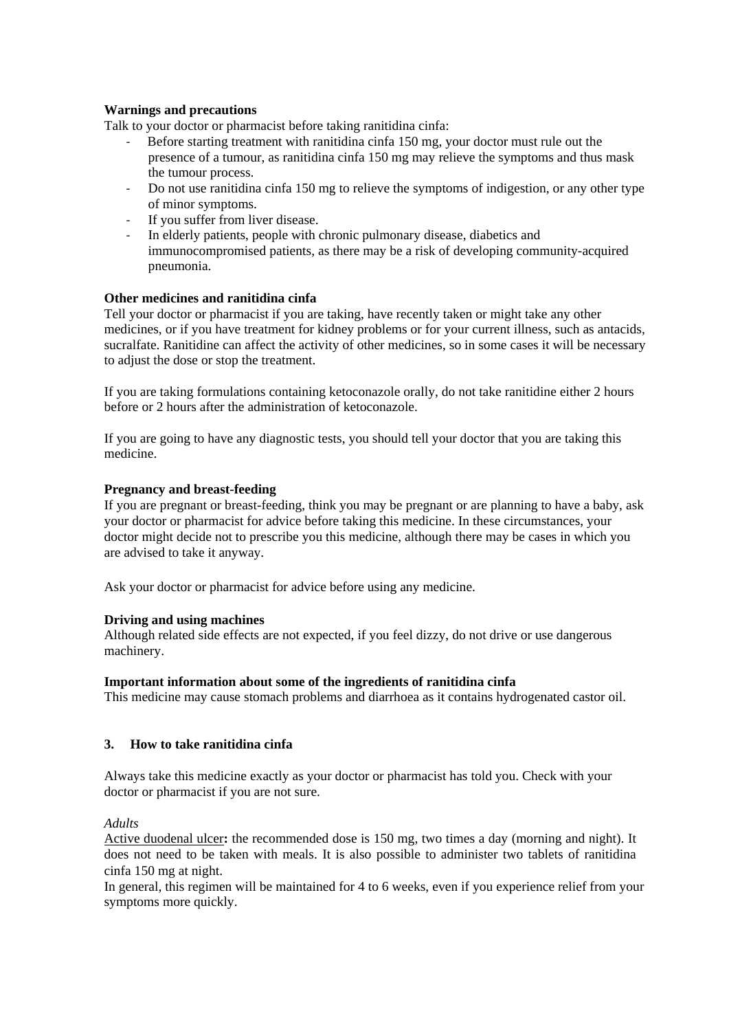# **Warnings and precautions**

Talk to your doctor or pharmacist before taking ranitidina cinfa:

- ‐ Before starting treatment with ranitidina cinfa 150 mg, your doctor must rule out the presence of a tumour, as ranitidina cinfa 150 mg may relieve the symptoms and thus mask the tumour process.
- ‐ Do not use ranitidina cinfa 150 mg to relieve the symptoms of indigestion, or any other type of minor symptoms.
- If you suffer from liver disease.
- In elderly patients, people with chronic pulmonary disease, diabetics and immunocompromised patients, as there may be a risk of developing community-acquired pneumonia.

# **Other medicines and ranitidina cinfa**

Tell your doctor or pharmacist if you are taking, have recently taken or might take any other medicines, or if you have treatment for kidney problems or for your current illness, such as antacids, sucralfate. Ranitidine can affect the activity of other medicines, so in some cases it will be necessary to adjust the dose or stop the treatment.

If you are taking formulations containing ketoconazole orally, do not take ranitidine either 2 hours before or 2 hours after the administration of ketoconazole.

If you are going to have any diagnostic tests, you should tell your doctor that you are taking this medicine.

# **Pregnancy and breast-feeding**

If you are pregnant or breast-feeding, think you may be pregnant or are planning to have a baby, ask your doctor or pharmacist for advice before taking this medicine. In these circumstances, your doctor might decide not to prescribe you this medicine, although there may be cases in which you are advised to take it anyway.

Ask your doctor or pharmacist for advice before using any medicine.

#### **Driving and using machines**

Although related side effects are not expected, if you feel dizzy, do not drive or use dangerous machinery.

#### **Important information about some of the ingredients of ranitidina cinfa**

This medicine may cause stomach problems and diarrhoea as it contains hydrogenated castor oil.

#### **3. How to take ranitidina cinfa**

Always take this medicine exactly as your doctor or pharmacist has told you. Check with your doctor or pharmacist if you are not sure.

*Adults*

Active duodenal ulcer**:** the recommended dose is 150 mg, two times a day (morning and night). It does not need to be taken with meals. It is also possible to administer two tablets of ranitidina cinfa 150 mg at night.

In general, this regimen will be maintained for 4 to 6 weeks, even if you experience relief from your symptoms more quickly.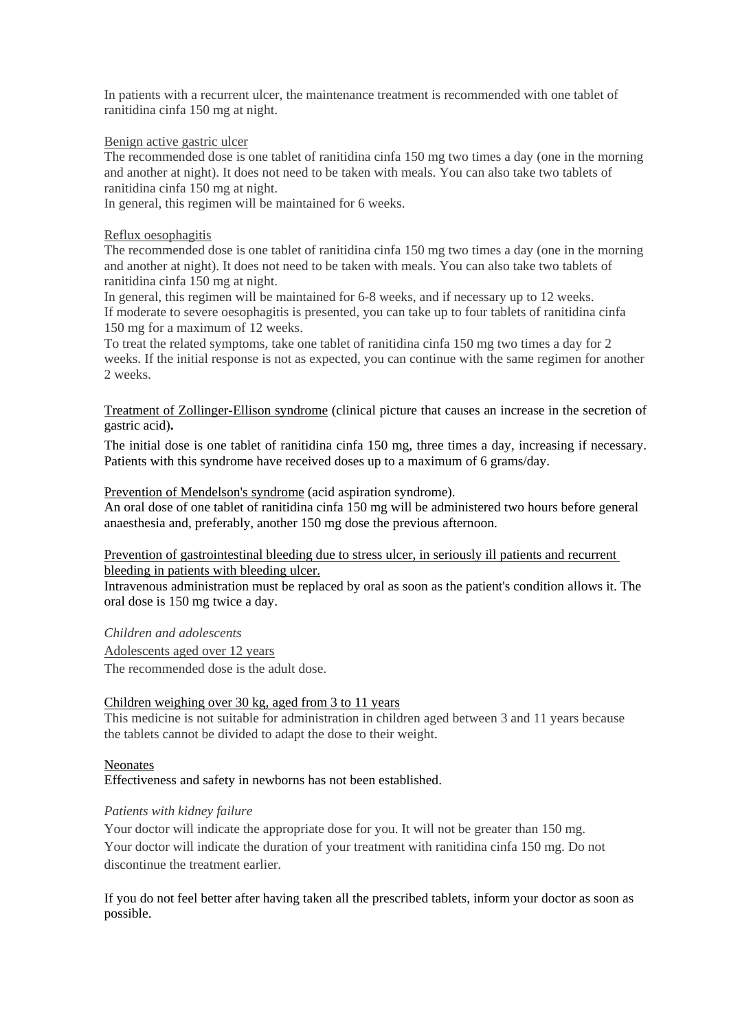In patients with a recurrent ulcer, the maintenance treatment is recommended with one tablet of ranitidina cinfa 150 mg at night.

#### Benign active gastric ulcer

The recommended dose is one tablet of ranitidina cinfa 150 mg two times a day (one in the morning and another at night). It does not need to be taken with meals. You can also take two tablets of ranitidina cinfa 150 mg at night.

In general, this regimen will be maintained for 6 weeks.

#### Reflux oesophagitis

The recommended dose is one tablet of ranitidina cinfa 150 mg two times a day (one in the morning and another at night). It does not need to be taken with meals. You can also take two tablets of ranitidina cinfa 150 mg at night.

In general, this regimen will be maintained for 6-8 weeks, and if necessary up to 12 weeks. If moderate to severe oesophagitis is presented, you can take up to four tablets of ranitidina cinfa 150 mg for a maximum of 12 weeks.

To treat the related symptoms, take one tablet of ranitidina cinfa 150 mg two times a day for 2 weeks. If the initial response is not as expected, you can continue with the same regimen for another 2 weeks.

Treatment of Zollinger-Ellison syndrome (clinical picture that causes an increase in the secretion of gastric acid)**.** 

The initial dose is one tablet of ranitidina cinfa 150 mg, three times a day, increasing if necessary. Patients with this syndrome have received doses up to a maximum of 6 grams/day.

Prevention of Mendelson's syndrome (acid aspiration syndrome).

An oral dose of one tablet of ranitidina cinfa 150 mg will be administered two hours before general anaesthesia and, preferably, another 150 mg dose the previous afternoon.

Prevention of gastrointestinal bleeding due to stress ulcer, in seriously ill patients and recurrent bleeding in patients with bleeding ulcer.

Intravenous administration must be replaced by oral as soon as the patient's condition allows it. The oral dose is 150 mg twice a day.

*Children and adolescents* 

Adolescents aged over 12 years

The recommended dose is the adult dose.

# Children weighing over 30 kg, aged from 3 to 11 years

This medicine is not suitable for administration in children aged between 3 and 11 years because the tablets cannot be divided to adapt the dose to their weight.

#### **Neonates**

Effectiveness and safety in newborns has not been established.

#### *Patients with kidney failure*

Your doctor will indicate the appropriate dose for you. It will not be greater than 150 mg. Your doctor will indicate the duration of your treatment with ranitidina cinfa 150 mg. Do not discontinue the treatment earlier.

If you do not feel better after having taken all the prescribed tablets, inform your doctor as soon as possible.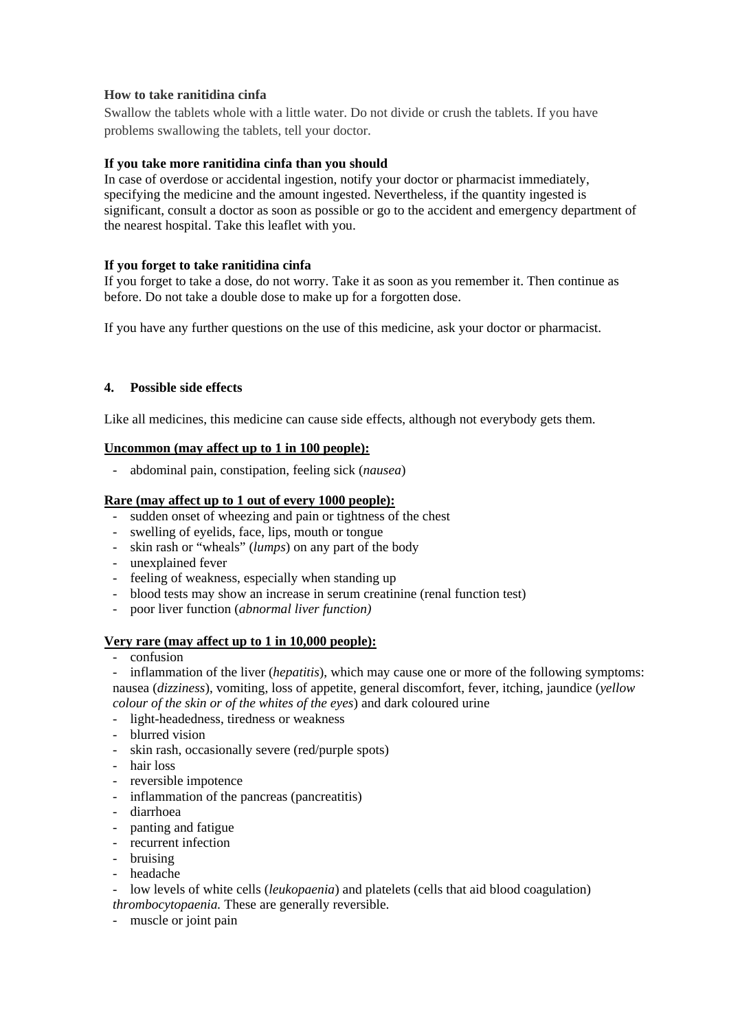# **How to take ranitidina cinfa**

Swallow the tablets whole with a little water. Do not divide or crush the tablets. If you have problems swallowing the tablets, tell your doctor.

# **If you take more ranitidina cinfa than you should**

In case of overdose or accidental ingestion, notify your doctor or pharmacist immediately, specifying the medicine and the amount ingested. Nevertheless, if the quantity ingested is significant, consult a doctor as soon as possible or go to the accident and emergency department of the nearest hospital. Take this leaflet with you.

# **If you forget to take ranitidina cinfa**

If you forget to take a dose, do not worry. Take it as soon as you remember it. Then continue as before. Do not take a double dose to make up for a forgotten dose.

If you have any further questions on the use of this medicine, ask your doctor or pharmacist.

# **4. Possible side effects**

Like all medicines, this medicine can cause side effects, although not everybody gets them.

# **Uncommon (may affect up to 1 in 100 people):**

- abdominal pain, constipation, feeling sick (*nausea*)

#### **Rare (may affect up to 1 out of every 1000 people):**

- sudden onset of wheezing and pain or tightness of the chest
- swelling of eyelids, face, lips, mouth or tongue
- skin rash or "wheals" (*lumps*) on any part of the body
- unexplained fever
- feeling of weakness, especially when standing up
- blood tests may show an increase in serum creatinine (renal function test)
- poor liver function (*abnormal liver function)*

#### **Very rare (may affect up to 1 in 10,000 people):**

- confusion

inflammation of the liver *(hepatitis)*, which may cause one or more of the following symptoms: nausea (*dizziness*), vomiting, loss of appetite, general discomfort, fever, itching, jaundice (*yellow colour of the skin or of the whites of the eyes*) and dark coloured urine

- light-headedness, tiredness or weakness
- blurred vision
- skin rash, occasionally severe (red/purple spots)
- hair loss
- reversible impotence
- inflammation of the pancreas (pancreatitis)
- diarrhoea
- panting and fatigue
- recurrent infection
- bruising
- headache

- low levels of white cells (*leukopaenia*) and platelets (cells that aid blood coagulation) *thrombocytopaenia.* These are generally reversible.

- muscle or joint pain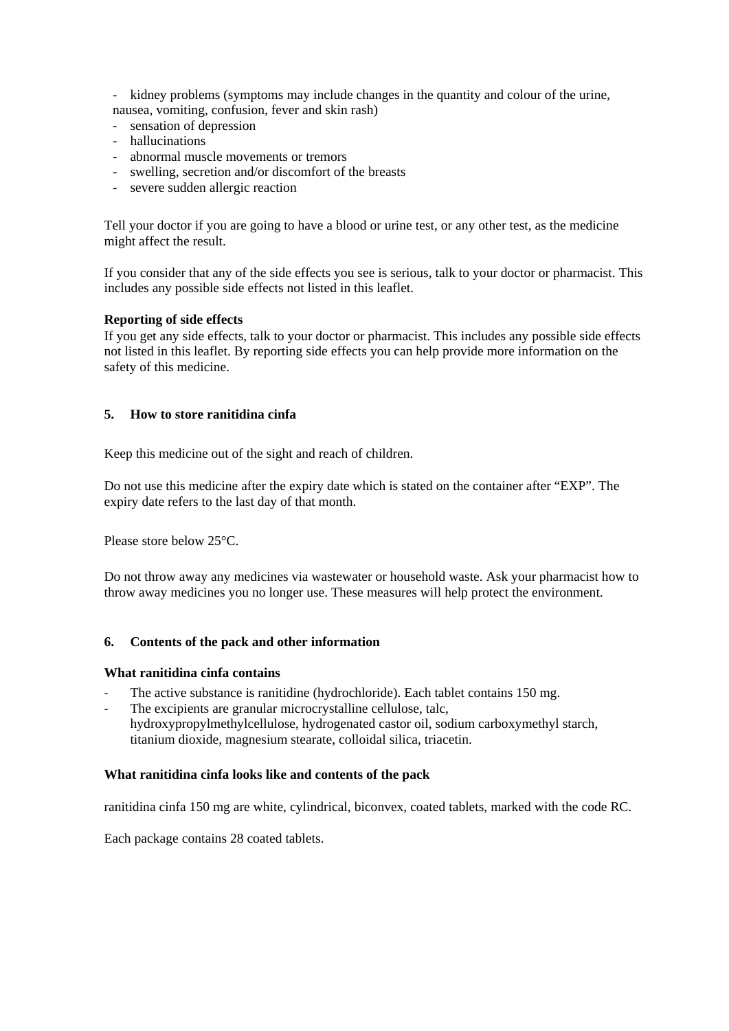- kidney problems (symptoms may include changes in the quantity and colour of the urine, nausea, vomiting, confusion, fever and skin rash)

- sensation of depression
- hallucinations
- abnormal muscle movements or tremors
- swelling, secretion and/or discomfort of the breasts
- severe sudden allergic reaction

Tell your doctor if you are going to have a blood or urine test, or any other test, as the medicine might affect the result.

If you consider that any of the side effects you see is serious, talk to your doctor or pharmacist. This includes any possible side effects not listed in this leaflet.

# **Reporting of side effects**

If you get any side effects, talk to your doctor or pharmacist. This includes any possible side effects not listed in this leaflet. By reporting side effects you can help provide more information on the safety of this medicine.

# **5. How to store ranitidina cinfa**

Keep this medicine out of the sight and reach of children.

Do not use this medicine after the expiry date which is stated on the container after "EXP". The expiry date refers to the last day of that month.

Please store below 25°C.

Do not throw away any medicines via wastewater or household waste. Ask your pharmacist how to throw away medicines you no longer use. These measures will help protect the environment.

#### **6. Contents of the pack and other information**

#### **What ranitidina cinfa contains**

- The active substance is ranitidine (hydrochloride). Each tablet contains 150 mg.
- The excipients are granular microcrystalline cellulose, talc, hydroxypropylmethylcellulose, hydrogenated castor oil, sodium carboxymethyl starch, titanium dioxide, magnesium stearate, colloidal silica, triacetin.

#### **What ranitidina cinfa looks like and contents of the pack**

ranitidina cinfa 150 mg are white, cylindrical, biconvex, coated tablets, marked with the code RC.

Each package contains 28 coated tablets.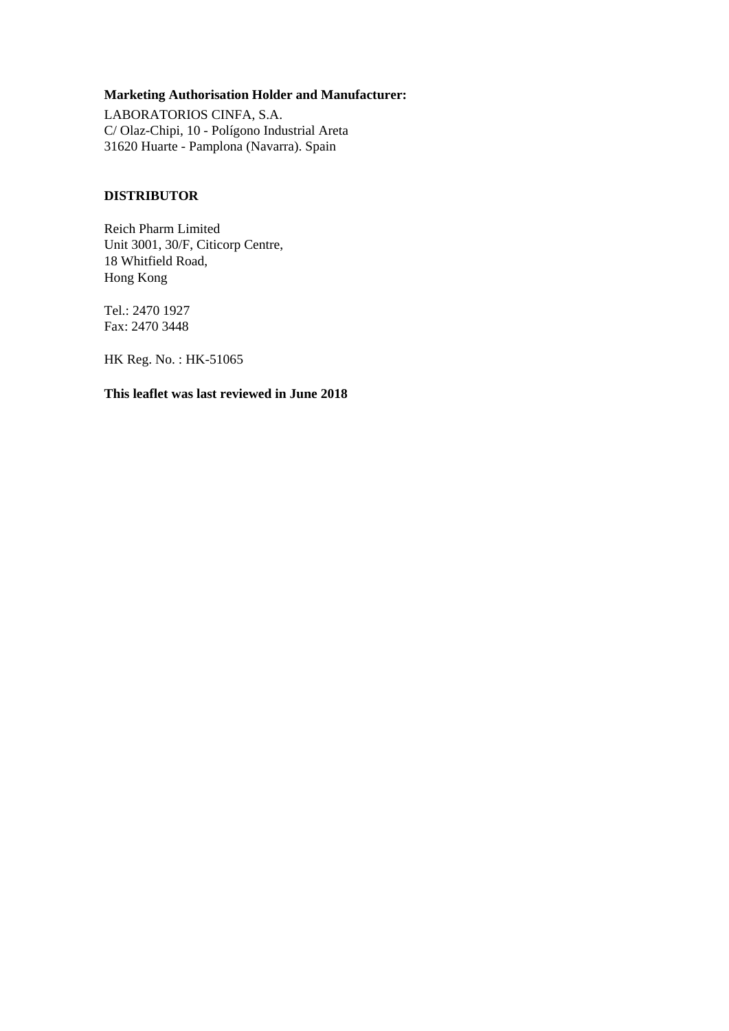# **Marketing Authorisation Holder and Manufacturer:**

LABORATORIOS CINFA, S.A. C/ Olaz-Chipi, 10 - Polígono Industrial Areta 31620 Huarte - Pamplona (Navarra). Spain

# **DISTRIBUTOR**

Reich Pharm Limited Unit 3001, 30/F, Citicorp Centre, 18 Whitfield Road, Hong Kong

Tel.: 2470 1927 Fax: 2470 3448

HK Reg. No. : HK-51065

**This leaflet was last reviewed in June 2018**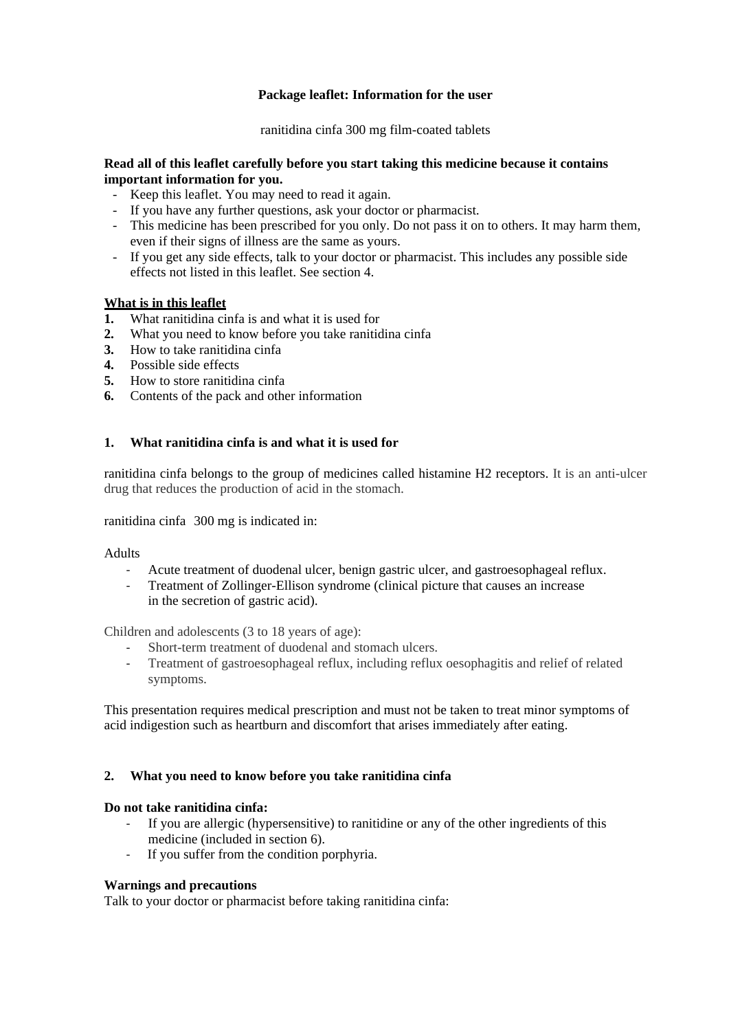# **Package leaflet: Information for the user**

ranitidina cinfa 300 mg film-coated tablets

#### **Read all of this leaflet carefully before you start taking this medicine because it contains important information for you.**

- Keep this leaflet. You may need to read it again.
- If you have any further questions, ask your doctor or pharmacist.
- This medicine has been prescribed for you only. Do not pass it on to others. It may harm them, even if their signs of illness are the same as yours.
- If you get any side effects, talk to your doctor or pharmacist. This includes any possible side effects not listed in this leaflet. See section 4.

# **What is in this leaflet**

- **1.** What ranitidina cinfa is and what it is used for
- **2.** What you need to know before you take ranitidina cinfa
- **3.** How to take ranitidina cinfa
- **4.** Possible side effects
- **5.** How to store ranitidina cinfa
- **6.** Contents of the pack and other information

#### **1. What ranitidina cinfa is and what it is used for**

ranitidina cinfa belongs to the group of medicines called histamine H2 receptors. It is an anti-ulcer drug that reduces the production of acid in the stomach.

ranitidina cinfa 300 mg is indicated in:

#### Adults

- ‐ Acute treatment of duodenal ulcer, benign gastric ulcer, and gastroesophageal reflux.
- ‐ Treatment of Zollinger-Ellison syndrome (clinical picture that causes an increase in the secretion of gastric acid).

Children and adolescents (3 to 18 years of age):

- Short-term treatment of duodenal and stomach ulcers.
- ‐ Treatment of gastroesophageal reflux, including reflux oesophagitis and relief of related symptoms.

This presentation requires medical prescription and must not be taken to treat minor symptoms of acid indigestion such as heartburn and discomfort that arises immediately after eating.

#### **2. What you need to know before you take ranitidina cinfa**

#### **Do not take ranitidina cinfa:**

- ‐ If you are allergic (hypersensitive) to ranitidine or any of the other ingredients of this medicine (included in section 6).
- ‐ If you suffer from the condition porphyria.

#### **Warnings and precautions**

Talk to your doctor or pharmacist before taking ranitidina cinfa: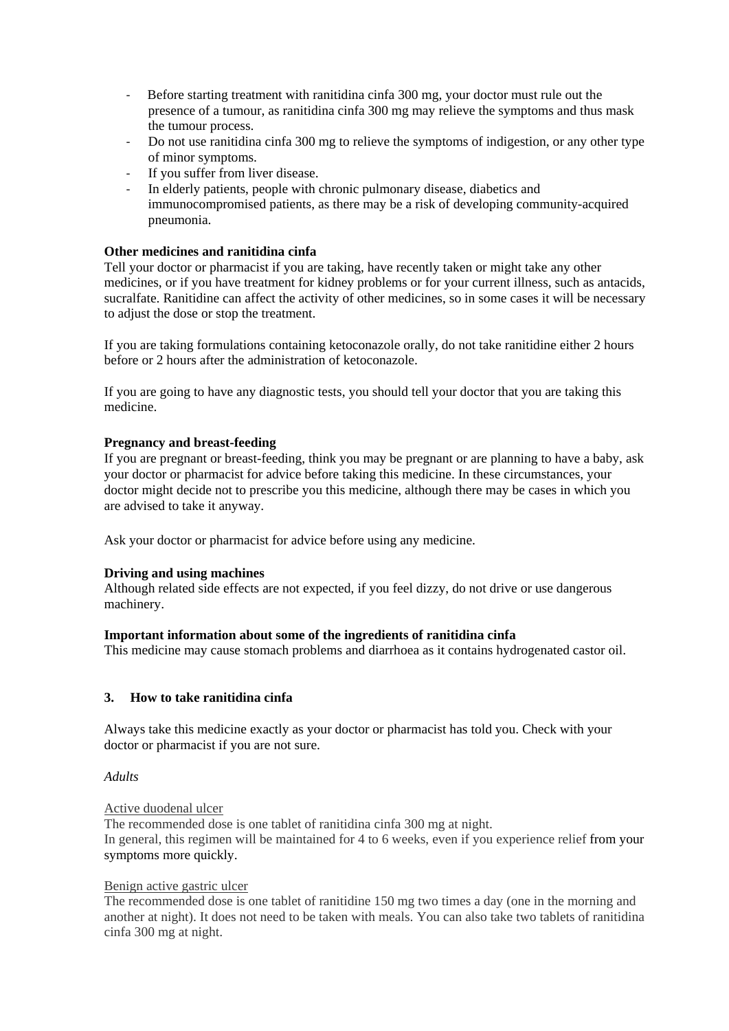- Before starting treatment with ranitidina cinfa 300 mg, your doctor must rule out the presence of a tumour, as ranitidina cinfa 300 mg may relieve the symptoms and thus mask the tumour process.
- ‐ Do not use ranitidina cinfa 300 mg to relieve the symptoms of indigestion, or any other type of minor symptoms.
- ‐ If you suffer from liver disease.
- In elderly patients, people with chronic pulmonary disease, diabetics and immunocompromised patients, as there may be a risk of developing community-acquired pneumonia.

# **Other medicines and ranitidina cinfa**

Tell your doctor or pharmacist if you are taking, have recently taken or might take any other medicines, or if you have treatment for kidney problems or for your current illness, such as antacids, sucralfate. Ranitidine can affect the activity of other medicines, so in some cases it will be necessary to adjust the dose or stop the treatment.

If you are taking formulations containing ketoconazole orally, do not take ranitidine either 2 hours before or 2 hours after the administration of ketoconazole.

If you are going to have any diagnostic tests, you should tell your doctor that you are taking this medicine.

# **Pregnancy and breast-feeding**

If you are pregnant or breast-feeding, think you may be pregnant or are planning to have a baby, ask your doctor or pharmacist for advice before taking this medicine. In these circumstances, your doctor might decide not to prescribe you this medicine, although there may be cases in which you are advised to take it anyway.

Ask your doctor or pharmacist for advice before using any medicine.

#### **Driving and using machines**

Although related side effects are not expected, if you feel dizzy, do not drive or use dangerous machinery.

#### **Important information about some of the ingredients of ranitidina cinfa**

This medicine may cause stomach problems and diarrhoea as it contains hydrogenated castor oil.

# **3. How to take ranitidina cinfa**

Always take this medicine exactly as your doctor or pharmacist has told you. Check with your doctor or pharmacist if you are not sure.

#### *Adults*

# Active duodenal ulcer

The recommended dose is one tablet of ranitidina cinfa 300 mg at night. In general, this regimen will be maintained for 4 to 6 weeks, even if you experience relief from your symptoms more quickly.

# Benign active gastric ulcer

The recommended dose is one tablet of ranitidine 150 mg two times a day (one in the morning and another at night). It does not need to be taken with meals. You can also take two tablets of ranitidina cinfa 300 mg at night.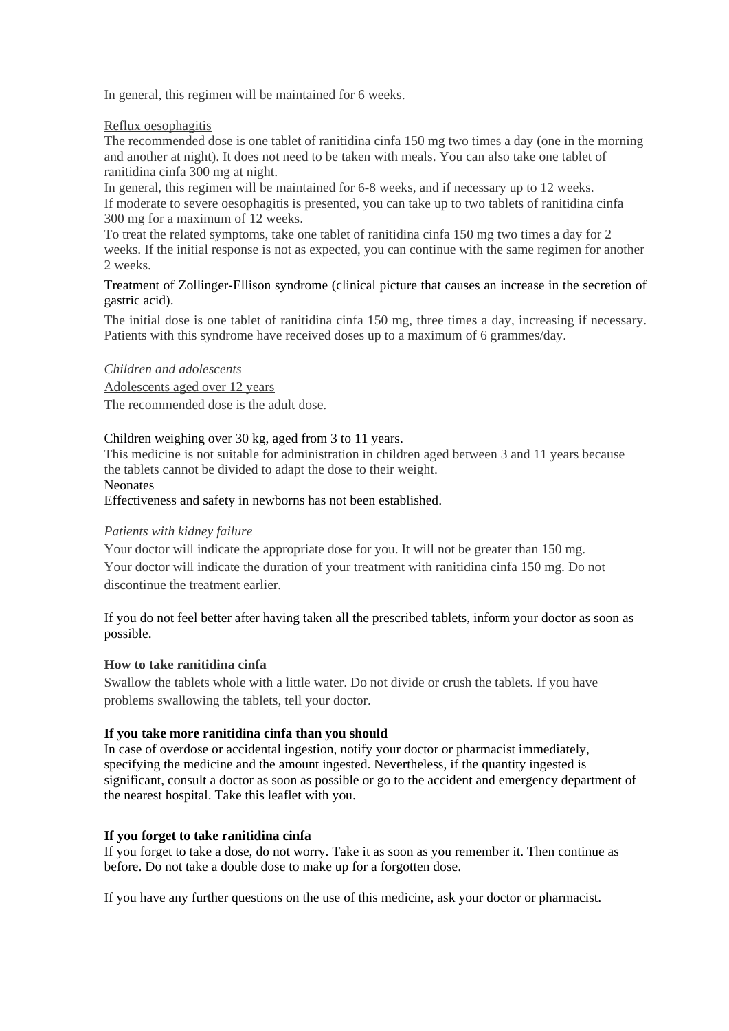In general, this regimen will be maintained for 6 weeks.

# Reflux oesophagitis

The recommended dose is one tablet of ranitidina cinfa 150 mg two times a day (one in the morning and another at night). It does not need to be taken with meals. You can also take one tablet of ranitidina cinfa 300 mg at night.

In general, this regimen will be maintained for 6-8 weeks, and if necessary up to 12 weeks. If moderate to severe oesophagitis is presented, you can take up to two tablets of ranitidina cinfa 300 mg for a maximum of 12 weeks.

To treat the related symptoms, take one tablet of ranitidina cinfa 150 mg two times a day for 2 weeks. If the initial response is not as expected, you can continue with the same regimen for another 2 weeks.

Treatment of Zollinger-Ellison syndrome (clinical picture that causes an increase in the secretion of gastric acid).

The initial dose is one tablet of ranitidina cinfa 150 mg, three times a day, increasing if necessary. Patients with this syndrome have received doses up to a maximum of 6 grammes/day.

#### *Children and adolescents*

Adolescents aged over 12 years

The recommended dose is the adult dose.

# Children weighing over 30 kg, aged from 3 to 11 years.

This medicine is not suitable for administration in children aged between 3 and 11 years because the tablets cannot be divided to adapt the dose to their weight. **Neonates** 

Effectiveness and safety in newborns has not been established.

# *Patients with kidney failure*

Your doctor will indicate the appropriate dose for you. It will not be greater than 150 mg. Your doctor will indicate the duration of your treatment with ranitidina cinfa 150 mg. Do not discontinue the treatment earlier.

If you do not feel better after having taken all the prescribed tablets, inform your doctor as soon as possible.

#### **How to take ranitidina cinfa**

Swallow the tablets whole with a little water. Do not divide or crush the tablets. If you have problems swallowing the tablets, tell your doctor.

#### **If you take more ranitidina cinfa than you should**

In case of overdose or accidental ingestion, notify your doctor or pharmacist immediately, specifying the medicine and the amount ingested. Nevertheless, if the quantity ingested is significant, consult a doctor as soon as possible or go to the accident and emergency department of the nearest hospital. Take this leaflet with you.

#### **If you forget to take ranitidina cinfa**

If you forget to take a dose, do not worry. Take it as soon as you remember it. Then continue as before. Do not take a double dose to make up for a forgotten dose.

If you have any further questions on the use of this medicine, ask your doctor or pharmacist.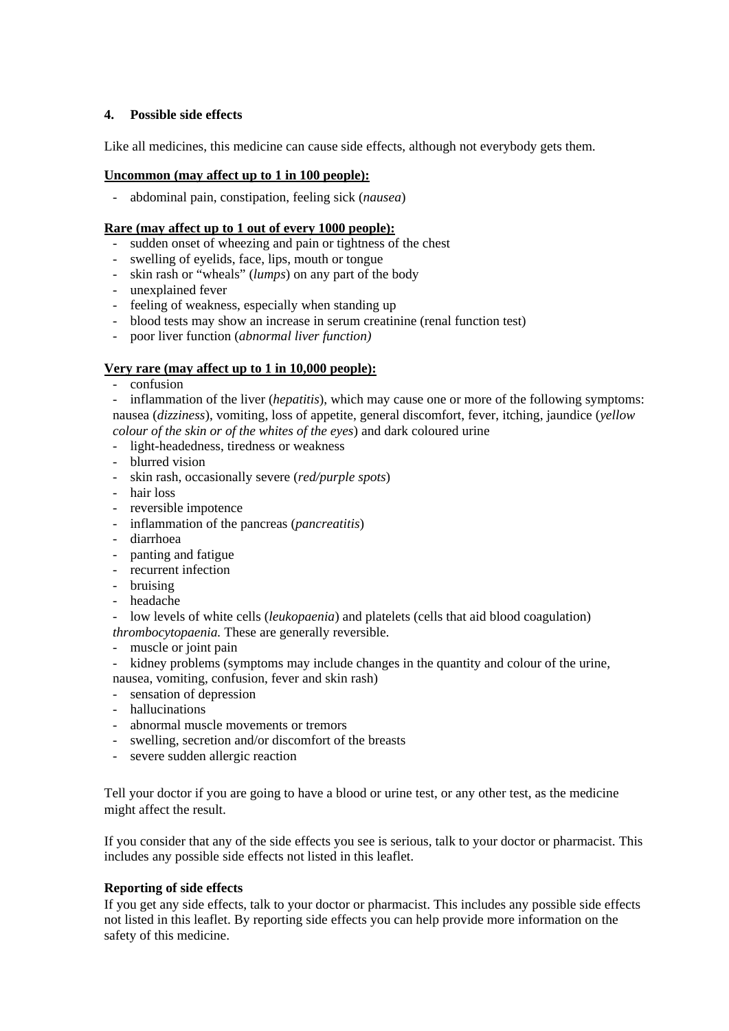# **4. Possible side effects**

Like all medicines, this medicine can cause side effects, although not everybody gets them.

#### **Uncommon (may affect up to 1 in 100 people):**

- abdominal pain, constipation, feeling sick (*nausea*)

# **Rare (may affect up to 1 out of every 1000 people):**

- sudden onset of wheezing and pain or tightness of the chest
- swelling of eyelids, face, lips, mouth or tongue
- skin rash or "wheals" (*lumps*) on any part of the body
- unexplained fever
- feeling of weakness, especially when standing up
- blood tests may show an increase in serum creatinine (renal function test)
- poor liver function (*abnormal liver function)*

#### **Very rare (may affect up to 1 in 10,000 people):**

- confusion

- inflammation of the liver (*hepatitis*), which may cause one or more of the following symptoms: nausea (*dizziness*), vomiting, loss of appetite, general discomfort, fever, itching, jaundice (*yellow* 

*colour of the skin or of the whites of the eyes*) and dark coloured urine

- light-headedness, tiredness or weakness
- blurred vision
- skin rash, occasionally severe (*red/purple spots*)
- hair loss
- reversible impotence
- inflammation of the pancreas (*pancreatitis*)
- diarrhoea
- panting and fatigue
- recurrent infection
- bruising
- headache
- low levels of white cells (*leukopaenia*) and platelets (cells that aid blood coagulation) *thrombocytopaenia.* These are generally reversible.
- muscle or joint pain
- kidney problems (symptoms may include changes in the quantity and colour of the urine, nausea, vomiting, confusion, fever and skin rash)
- sensation of depression
- hallucinations
- abnormal muscle movements or tremors
- swelling, secretion and/or discomfort of the breasts
- severe sudden allergic reaction

Tell your doctor if you are going to have a blood or urine test, or any other test, as the medicine might affect the result.

If you consider that any of the side effects you see is serious, talk to your doctor or pharmacist. This includes any possible side effects not listed in this leaflet.

#### **Reporting of side effects**

If you get any side effects, talk to your doctor or pharmacist. This includes any possible side effects not listed in this leaflet. By reporting side effects you can help provide more information on the safety of this medicine.